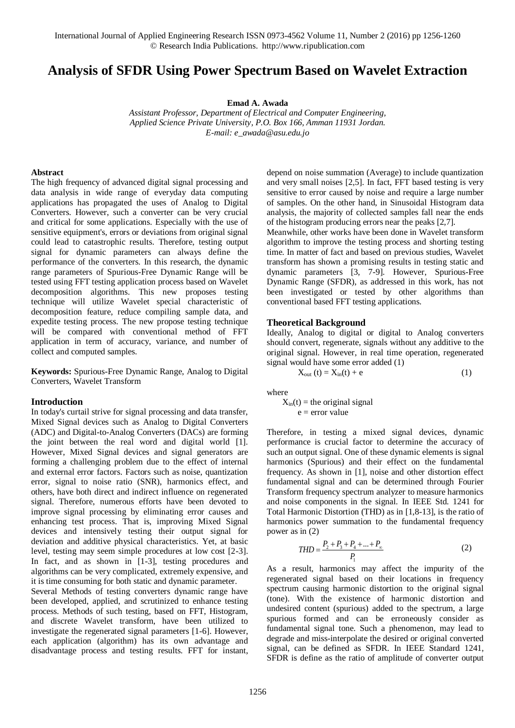# **Analysis of SFDR Using Power Spectrum Based on Wavelet Extraction**

**Emad A. Awada**

*Assistant Professor, Department of Electrical and Computer Engineering, Applied Science Private University, P.O. Box 166, Amman 11931 Jordan. E-mail: e\_awada@asu.edu.jo*

#### **Abstract**

The high frequency of advanced digital signal processing and data analysis in wide range of everyday data computing applications has propagated the uses of Analog to Digital Converters. However, such a converter can be very crucial and critical for some applications. Especially with the use of sensitive equipment's, errors or deviations from original signal could lead to catastrophic results. Therefore, testing output signal for dynamic parameters can always define the performance of the converters. In this research, the dynamic range parameters of Spurious-Free Dynamic Range will be tested using FFT testing application process based on Wavelet decomposition algorithms. This new proposes testing technique will utilize Wavelet special characteristic of decomposition feature, reduce compiling sample data, and expedite testing process. The new propose testing technique will be compared with conventional method of FFT application in term of accuracy, variance, and number of collect and computed samples.

**Keywords:** Spurious-Free Dynamic Range, Analog to Digital Converters, Wavelet Transform

### **Introduction**

In today's curtail strive for signal processing and data transfer, Mixed Signal devices such as Analog to Digital Converters (ADC) and Digital-to-Analog Converters (DACs) are forming the joint between the real word and digital world [1]. However, Mixed Signal devices and signal generators are forming a challenging problem due to the effect of internal and external error factors. Factors such as noise, quantization error, signal to noise ratio (SNR), harmonics effect, and others, have both direct and indirect influence on regenerated signal. Therefore, numerous efforts have been devoted to improve signal processing by eliminating error causes and enhancing test process. That is, improving Mixed Signal devices and intensively testing their output signal for deviation and additive physical characteristics. Yet, at basic level, testing may seem simple procedures at low cost [2-3]. In fact, and as shown in [1-3], testing procedures and algorithms can be very complicated, extremely expensive, and it is time consuming for both static and dynamic parameter.

Several Methods of testing converters dynamic range have been developed, applied, and scrutinized to enhance testing process. Methods of such testing, based on FFT, Histogram, and discrete Wavelet transform, have been utilized to investigate the regenerated signal parameters [1-6]. However, each application (algorithm) has its own advantage and disadvantage process and testing results. FFT for instant, depend on noise summation (Average) to include quantization and very small noises [2,5]. In fact, FFT based testing is very sensitive to error caused by noise and require a large number of samples. On the other hand, in Sinusoidal Histogram data analysis, the majority of collected samples fall near the ends of the histogram producing errors near the peaks [2,7].

Meanwhile, other works have been done in Wavelet transform algorithm to improve the testing process and shorting testing time. In matter of fact and based on previous studies, Wavelet transform has shown a promising results in testing static and dynamic parameters [3, 7-9]. However, Spurious-Free Dynamic Range (SFDR), as addressed in this work, has not been investigated or tested by other algorithms than conventional based FFT testing applications.

### **Theoretical Background**

Ideally, Analog to digital or digital to Analog converters should convert, regenerate, signals without any additive to the original signal. However, in real time operation, regenerated signal would have some error added (1)

$$
X_{out}(t) = X_{in}(t) + e
$$
 (1)

where

 $X_{in}(t)$  = the original signal  $e = error value$ 

Therefore, in testing a mixed signal devices, dynamic performance is crucial factor to determine the accuracy of such an output signal. One of these dynamic elements is signal harmonics (Spurious) and their effect on the fundamental frequency. As shown in [1], noise and other distortion effect fundamental signal and can be determined through Fourier Transform frequency spectrum analyzer to measure harmonics and noise components in the signal. In IEEE Std. 1241 for Total Harmonic Distortion (THD) as in [1,8-13], is the ratio of harmonics power summation to the fundamental frequency power as in (2)

$$
THD = \frac{P_2 + P_3 + P_4 + \dots + P_{\infty}}{P_1}
$$
 (2)

As a result, harmonics may affect the impurity of the regenerated signal based on their locations in frequency spectrum causing harmonic distortion to the original signal (tone). With the existence of harmonic distortion and undesired content (spurious) added to the spectrum, a large spurious formed and can be erroneously consider as fundamental signal tone. Such a phenomenon, may lead to degrade and miss-interpolate the desired or original converted signal, can be defined as SFDR. In IEEE Standard 1241, SFDR is define as the ratio of amplitude of converter output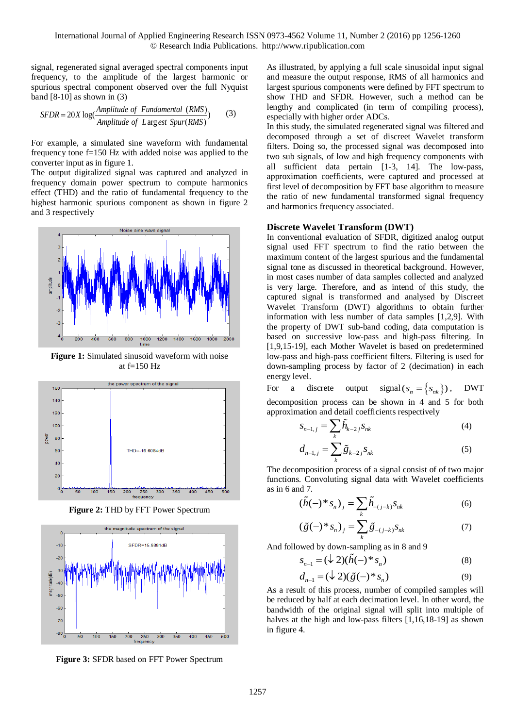signal, regenerated signal averaged spectral components input frequency, to the amplitude of the largest harmonic or spurious spectral component observed over the full Nyquist

band [8-10] as shown in (3)  
\n
$$
SFR = 20X \log(\frac{Amplitude \text{ of Fundamental } (RMS)}{Amplitude \text{ of } L \text{ arg} \text{ est } Spur(RMS)})
$$
\n(3)

For example, a simulated sine waveform with fundamental frequency tone f=150 Hz with added noise was applied to the converter input as in figure 1.

The output digitalized signal was captured and analyzed in frequency domain power spectrum to compute harmonics effect (THD) and the ratio of fundamental frequency to the highest harmonic spurious component as shown in figure 2 and 3 respectively



**Figure 1:** Simulated sinusoid waveform with noise at  $f=150$  Hz



**Figure 2:** THD by FFT Power Spectrum



**Figure 3:** SFDR based on FFT Power Spectrum

As illustrated, by applying a full scale sinusoidal input signal and measure the output response, RMS of all harmonics and largest spurious components were defined by FFT spectrum to show THD and SFDR. However, such a method can be lengthy and complicated (in term of compiling process), especially with higher order ADCs.

In this study, the simulated regenerated signal was filtered and decomposed through a set of discreet Wavelet transform filters. Doing so, the processed signal was decomposed into two sub signals, of low and high frequency components with all sufficient data pertain [1-3, 14]. The low-pass, approximation coefficients, were captured and processed at first level of decomposition by FFT base algorithm to measure the ratio of new fundamental transformed signal frequency and harmonics frequency associated.

### **Discrete Wavelet Transform (DWT)**

In conventional evaluation of SFDR, digitized analog output signal used FFT spectrum to find the ratio between the maximum content of the largest spurious and the fundamental signal tone as discussed in theoretical background. However, in most cases number of data samples collected and analyzed is very large. Therefore, and as intend of this study, the captured signal is transformed and analysed by Discreet Wavelet Transform (DWT) algorithms to obtain further information with less number of data samples [1,2,9]. With the property of DWT sub-band coding, data computation is based on successive low-pass and high-pass filtering. In [1,9,15-19], each Mother Wavelet is based on predetermined low-pass and high-pass coefficient filters. Filtering is used for down-sampling process by factor of 2 (decimation) in each energy level.

For a discrete output signal  $(s_n = \{s_{nk}\})$ , DWT decomposition process can be shown in 4 and 5 for both approximation and detail coefficients respectively

$$
S_{n-1,j} = \sum_{k} \widetilde{h}_{k-2,j} S_{nk} \tag{4}
$$

$$
d_{n-1,j} = \sum_{k} \tilde{g}_{k-2,j} s_{nk} \tag{5}
$$

The decomposition process of a signal consist of of two major functions. Convoluting signal data with Wavelet coefficients as in 6 and 7.

$$
(\tilde{h}(-)^* s_n)_j = \sum_k \tilde{h}_{-(j-k)} s_{nk}
$$
 (6)

$$
\left(\tilde{g}(-)^*s_n\right)_j = \sum_{k}^{k} \tilde{g}_{-(j-k)}s_{nk} \tag{7}
$$

And followed by down-sampling as in 8 and 9

$$
s_{n-1} = (\downarrow 2)(\tilde{h}(-)^* s_n)
$$
 (8)

$$
d_{n-1} = (\downarrow 2)(\tilde{g}(-)^*s_n) \tag{9}
$$

As a result of this process, number of compiled samples will be reduced by half at each decimation level. In other word, the bandwidth of the original signal will split into multiple of halves at the high and low-pass filters [1,16,18-19] as shown in figure 4.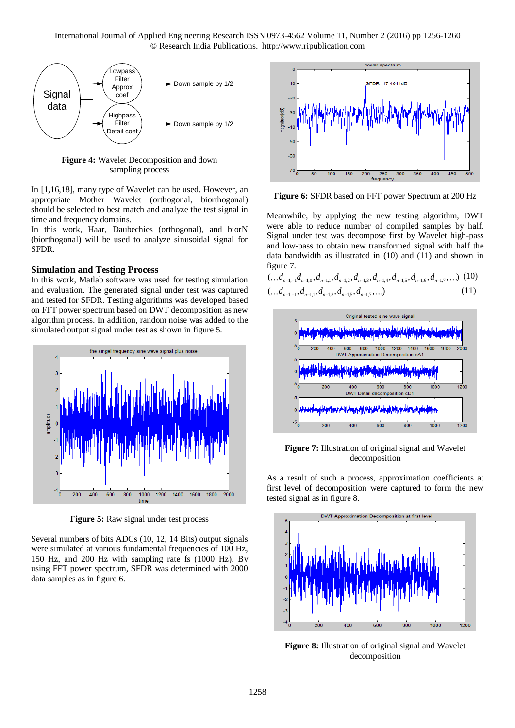

**Figure 4:** Wavelet Decomposition and down sampling process

In [1,16,18], many type of Wavelet can be used. However, an appropriate Mother Wavelet (orthogonal, biorthogonal) should be selected to best match and analyze the test signal in time and frequency domains.

In this work, Haar, Daubechies (orthogonal), and biorN (biorthogonal) will be used to analyze sinusoidal signal for SFDR.

### **Simulation and Testing Process**

In this work, Matlab software was used for testing simulation and evaluation. The generated signal under test was captured and tested for SFDR. Testing algorithms was developed based on FFT power spectrum based on DWT decomposition as new algorithm process. In addition, random noise was added to the simulated output signal under test as shown in figure 5.



**Figure 5:** Raw signal under test process

Several numbers of bits ADCs (10, 12, 14 Bits) output signals were simulated at various fundamental frequencies of 100 Hz, 150 Hz, and 200 Hz with sampling rate fs (1000 Hz). By using FFT power spectrum, SFDR was determined with 2000 data samples as in figure 6.



**Figure 6:** SFDR based on FFT power Spectrum at 200 Hz

Meanwhile, by applying the new testing algorithm, DWT were able to reduce number of compiled samples by half. Signal under test was decompose first by Wavelet high-pass and low-pass to obtain new transformed signal with half the data bandwidth as illustrated in (10) and (11) and shown in figure 7.<br>  $(\ldots d_{n-1,-1}d_{n-1,0}, d_{n-1,1}, d_{n-1,2}, d_{n-1,3}, d_{n-1,4}, d_{n-1,5}, d_{n-1,6}, d_{n-1,7}, \ldots)$  (10) figure 7.

$$
\begin{array}{ll}\n(\ldots d_{n-1,-1}d_{n-1,0}, d_{n-1,1}, d_{n-1,2}, d_{n-1,3}, d_{n-1,4}, d_{n-1,5}, d_{n-1,6}, d_{n-1,7}, \ldots) & (10) \\
(\ldots d_{n-1,-1}, d_{n-1,1}, d_{n-1,3}, d_{n-1,5}, d_{n-1,7}, \ldots) & (11)\n\end{array}
$$



**Figure 7:** Illustration of original signal and Wavelet decomposition

As a result of such a process, approximation coefficients at first level of decomposition were captured to form the new tested signal as in figure 8.



**Figure 8:** Illustration of original signal and Wavelet decomposition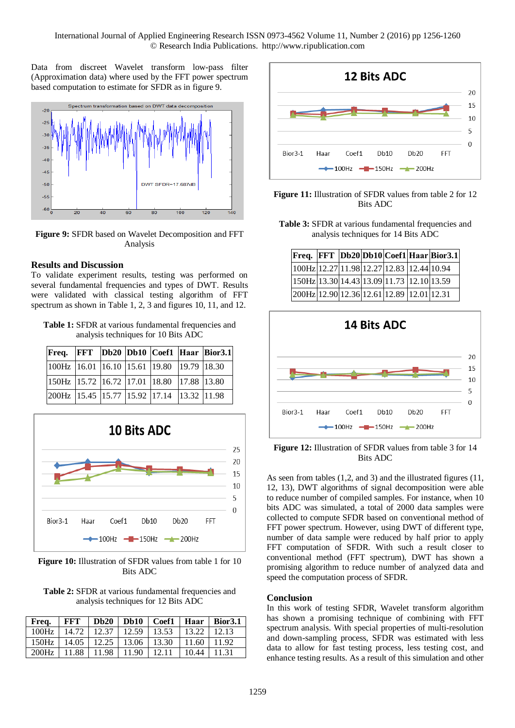Data from discreet Wavelet transform low-pass filter (Approximation data) where used by the FFT power spectrum based computation to estimate for SFDR as in figure 9.



**Figure 9:** SFDR based on Wavelet Decomposition and FFT Analysis

# **Results and Discussion**

To validate experiment results, testing was performed on several fundamental frequencies and types of DWT. Results were validated with classical testing algorithm of FFT spectrum as shown in Table 1, 2, 3 and figures 10, 11, and 12.

**Table 1:** SFDR at various fundamental frequencies and analysis techniques for 10 Bits ADC

|                                                                                              |  |  | Freq. FFT Db20 Db10 Coef1 Haar Bior3.1 |
|----------------------------------------------------------------------------------------------|--|--|----------------------------------------|
| $\vert 100Hz \vert 16.01 \vert 16.10 \vert 15.61 \vert 19.80 \vert 19.79 \vert 18.30$        |  |  |                                        |
| $\vert 150\text{Hz} \vert 15.72 \vert 16.72 \vert 17.01 \vert 18.80 \vert 17.88 \vert 13.80$ |  |  |                                        |
| 200Hz 15.45 15.77 15.92 17.14 13.32 11.98                                                    |  |  |                                        |



**Figure 10:** Illustration of SFDR values from table 1 for 10 Bits ADC

**Table 2:** SFDR at various fundamental frequencies and analysis techniques for 12 Bits ADC

| Freq. | FFT   | Db20      |       | $Db10$ $Coef1$ | Haar  | Bior3.1 |
|-------|-------|-----------|-------|----------------|-------|---------|
| 100Hz | 14.72 | 12.37     | 12.59 | 13.53          | 13.22 | 12.13   |
| 150Hz | 14.05 | $12.25$ 1 | 13.06 | 13.30          | 11.60 | 11.92   |
| 200Hz | 11.88 | 11.98     | 11.90 | 12.11          | 10.44 | 11.31   |



**Figure 11:** Illustration of SFDR values from table 2 for 12 Bits ADC

**Table 3:** SFDR at various fundamental frequencies and analysis techniques for 14 Bits ADC

|                                               |  |  | Freq. FFT Db20 Db10 Coef1 Haar Bior3.1 |
|-----------------------------------------------|--|--|----------------------------------------|
| 100Hz 12.27 11.98 12.27 12.83 12.44 10.94     |  |  |                                        |
| $150Hz$ 13.30 14.43 13.09 11.73 12.10 13.59   |  |  |                                        |
| $[200Hz]$ 12.90 12.36 12.61 12.89 12.01 12.31 |  |  |                                        |



**Figure 12:** Illustration of SFDR values from table 3 for 14 Bits ADC

As seen from tables (1,2, and 3) and the illustrated figures (11, 12, 13), DWT algorithms of signal decomposition were able to reduce number of compiled samples. For instance, when 10 bits ADC was simulated, a total of 2000 data samples were collected to compute SFDR based on conventional method of FFT power spectrum. However, using DWT of different type, number of data sample were reduced by half prior to apply FFT computation of SFDR. With such a result closer to conventional method (FFT spectrum), DWT has shown a promising algorithm to reduce number of analyzed data and speed the computation process of SFDR.

### **Conclusion**

In this work of testing SFDR, Wavelet transform algorithm has shown a promising technique of combining with FFT spectrum analysis. With special properties of multi-resolution and down-sampling process, SFDR was estimated with less data to allow for fast testing process, less testing cost, and enhance testing results. As a result of this simulation and other